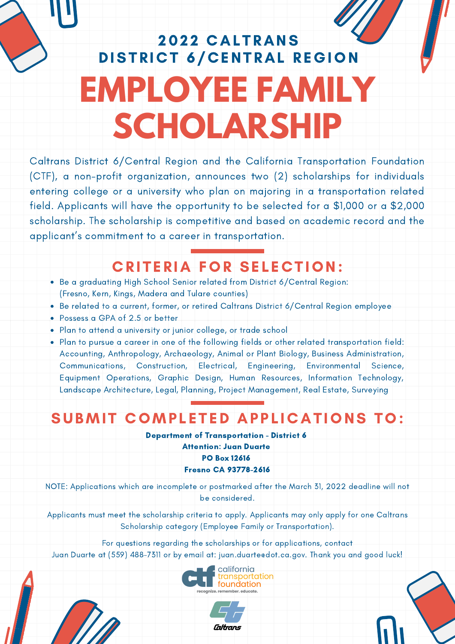## 2022 CALTRANS DISTRICT 6/CENTRAL REGION **EMPLOYEE FAMILY SCHOLARSHIP**

 Caltrans District 6/Central Region and the California Transportation Foundation (CTF), a non-profit organization, announces two (2) scholarships for individuals entering college or a university who plan on majoring in a transportation related field. Applicants will have the opportunity to be selected for a \$1,000 or a \$2,000 scholarship. The scholarship is competitive and based on academic record and the applicant's commitment to a career in transportation.

## CRITERIA FOR SELECTION:

- (Fresno, Kern, Kings, Madera and Tulare counties) Be a graduating High School Senior related from District 6/Central Region:
- Be related to a current, former, or retired Caltrans District 6/Central Region employee
- Possess a GPA of 2.5 or better
- Plan to attend a university or junior college, or trade school
- Plan to pursue a career in one of the following fields or other related transportation field: Accounting, Anthropology, Archaeology, Animal or Plant Biology, Business Administration, Equipment Operations, Graphic Design, Human Resources, Information Technology, Landscape Architecture, Legal, Planning, Project Management, Real Estate, Surveying Communications, Construction, Electrical, Engineering, Environmental Science,

## SUBMIT COMPLETED APPLICATIONS TO:

Department of Transportation - District 6

 Attention: Juan Duarte PO Box 12616 Fresno CA 93778-2616

 NOTE: Applications which are incomplete or postmarked after the March 31, 2022 deadline will not be considered.

 Applicants must meet the scholarship criteria to apply. Applicants may only apply for one Caltrans Scholarship category (Employee Family or Transportation).

For questions regarding the scholarships or for applications, contact

Juan Duarte at (559) 488-7311 or by email at: [juan.duarte@dot.ca.gov](mailto:juan.duarte@dot.ca.gov). Thank you and good luck!



Caltrans